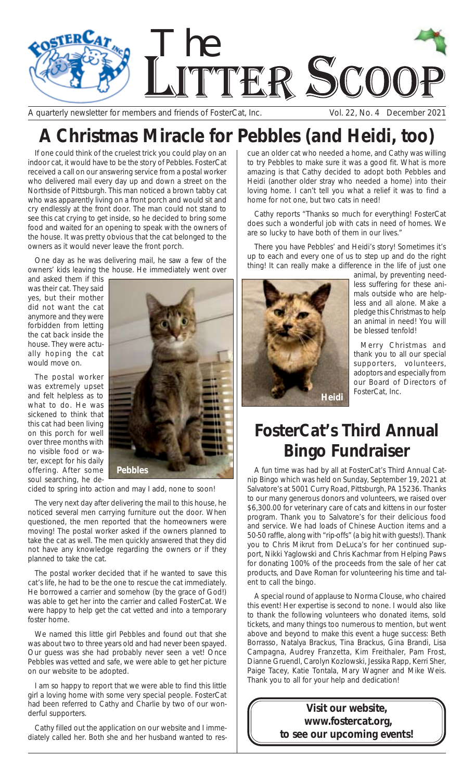

A quarterly newsletter for members and friends of FosterCat, Inc. Vol. 22, No. 4 December 2021

## **A Christmas Miracle for Pebbles (and Heidi, too)**

If one could think of the cruelest trick you could play on an indoor cat, it would have to be the story of Pebbles. FosterCat received a call on our answering service from a postal worker who delivered mail every day up and down a street on the Northside of Pittsburgh. This man noticed a brown tabby cat who was apparently living on a front porch and would sit and cry endlessly at the front door. The man could not stand to see this cat crying to get inside, so he decided to bring some food and waited for an opening to speak with the owners of the house. It was pretty obvious that the cat belonged to the owners as it would never leave the front porch.

One day as he was delivering mail, he saw a few of the owners' kids leaving the house. He immediately went over

and asked them if this was their cat. They said yes, but their mother did not want the cat anymore and they were forbidden from letting the cat back inside the house. They were actually hoping the cat would move on.

The postal worker was extremely upset and felt helpless as to what to do. He was sickened to think that this cat had been living on this porch for well over three months with no visible food or water, except for his daily offering. After some soul searching, he de-



cided to spring into action and may I add, none to soon!

The very next day after delivering the mail to this house, he noticed several men carrying furniture out the door. When questioned, the men reported that the homeowners were moving! The postal worker asked if the owners planned to take the cat as well. The men quickly answered that they did not have any knowledge regarding the owners or if they planned to take the cat.

The postal worker decided that if he wanted to save this cat's life, he had to be the one to rescue the cat immediately. He borrowed a carrier and somehow (by the grace of God!) was able to get her into the carrier and called FosterCat. We were happy to help get the cat vetted and into a temporary foster home.

We named this little girl Pebbles and found out that she was about two to three years old and had never been spayed. Our guess was she had probably never seen a vet! Once Pebbles was vetted and safe, we were able to get her picture on our website to be adopted.

I am so happy to report that we were able to find this little girl a loving home with some very special people. FosterCat had been referred to Cathy and Charlie by two of our wonderful supporters.

Cathy filled out the application on our website and I immediately called her. Both she and her husband wanted to res-

cue an older cat who needed a home, and Cathy was willing to try Pebbles to make sure it was a good fit. What is more amazing is that Cathy decided to adopt both Pebbles and Heidi (another older stray who needed a home) into their loving home. I can't tell you what a relief it was to find a home for not one, but two cats in need!

Cathy reports "Thanks so much for everything! FosterCat does such a wonderful job with cats in need of homes. We are so lucky to have both of them in our lives."

There you have Pebbles' and Heidi's story! Sometimes it's up to each and every one of us to step up and do the right thing! It can really make a difference in the life of just one



animal, by preventing needless suffering for these animals outside who are helpless and all alone. Make a pledge this Christmas to help an animal in need! You will be blessed tenfold!

Merry Christmas and thank you to all our special supporters, volunteers, adoptors and especially from our Board of Directors of FosterCat, Inc.

## **FosterCat's Third Annual Bingo Fundraiser**

A fun time was had by all at FosterCat's Third Annual Catnip Bingo which was held on Sunday, September 19, 2021 at Salvatore's at 5001 Curry Road, Pittsburgh, PA 15236. Thanks to our many generous donors and volunteers, we raised over \$6,300.00 for veterinary care of cats and kittens in our foster program. Thank you to Salvatore's for their delicious food and service. We had loads of Chinese Auction items and a 50-50 raffle, along with "rip-offs" (a big hit with guests!). Thank you to Chris Mikrut from DeLuca's for her continued support, Nikki Yaglowski and Chris Kachmar from Helping Paws for donating 100% of the proceeds from the sale of her cat products, and Dave Roman for volunteering his time and talent to call the bingo.

A special round of applause to Norma Clouse, who chaired this event! Her expertise is second to none. I would also like to thank the following volunteers who donated items, sold tickets, and many things too numerous to mention, but went above and beyond to make this event a huge success: Beth Borrasso, Natalya Brackus, Tina Brackus, Gina Brandi, Lisa Campagna, Audrey Franzetta, Kim Freithaler, Pam Frost, Dianne Gruendl, Carolyn Kozlowski, Jessika Rapp, Kerri Sher, Paige Tacey, Katie Tontala, Mary Wagner and Mike Weis. Thank you to all for your help and dedication!